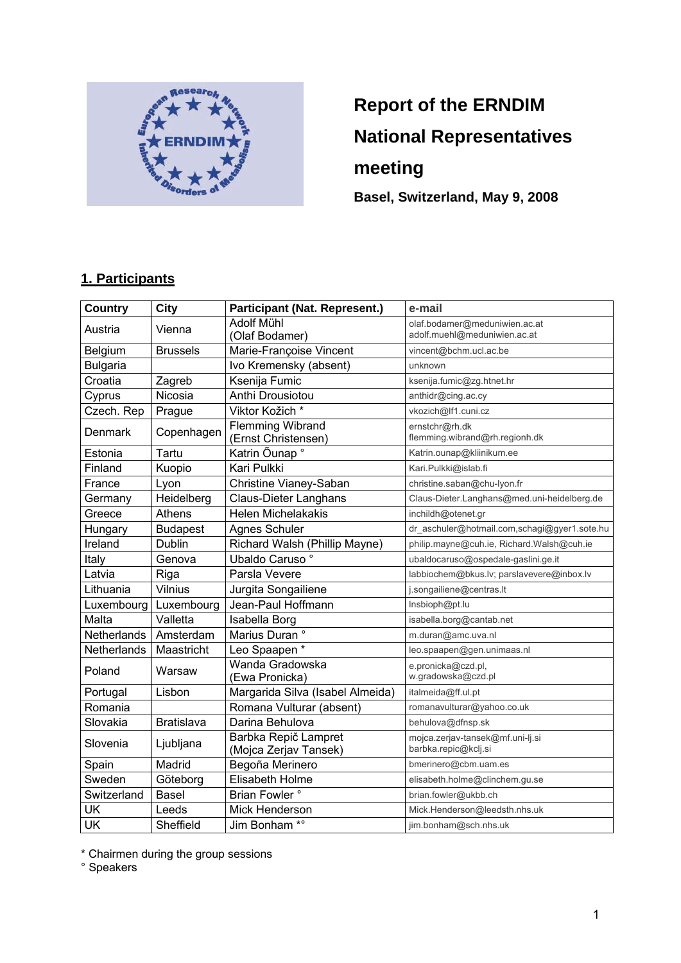

# **Report of the ERNDIM National Representatives meeting**

**Basel, Switzerland, May 9, 2008** 

### **1. Participants**

| <b>Country</b>  | <b>City</b>       | <b>Participant (Nat. Represent.)</b>           | e-mail                                                   |
|-----------------|-------------------|------------------------------------------------|----------------------------------------------------------|
| Austria         | Vienna            | <b>Adolf Mühl</b>                              | olaf.bodamer@meduniwien.ac.at                            |
|                 |                   | (Olaf Bodamer)                                 | adolf.muehl@meduniwien.ac.at                             |
| <b>Belgium</b>  | <b>Brussels</b>   | Marie-Françoise Vincent                        | vincent@bchm.ucl.ac.be                                   |
| <b>Bulgaria</b> |                   | Ivo Kremensky (absent)                         | unknown                                                  |
| Croatia         | Zagreb            | Ksenija Fumic                                  | ksenija.fumic@zg.htnet.hr                                |
| Cyprus          | Nicosia           | Anthi Drousiotou                               | anthidr@cing.ac.cy                                       |
| Czech. Rep      | Prague            | Viktor Kožich*                                 | vkozich@lf1.cuni.cz                                      |
| Denmark         | Copenhagen        | <b>Flemming Wibrand</b><br>(Ernst Christensen) | ernstchr@rh.dk<br>flemming.wibrand@rh.regionh.dk         |
| Estonia         | Tartu             | Katrin Õunap °                                 | Katrin.ounap@kliinikum.ee                                |
| Finland         | Kuopio            | Kari Pulkki                                    | Kari.Pulkki@islab.fi                                     |
| France          | Lyon              | Christine Vianey-Saban                         | christine.saban@chu-lyon.fr                              |
| Germany         | Heidelberg        | <b>Claus-Dieter Langhans</b>                   | Claus-Dieter.Langhans@med.uni-heidelberg.de              |
| Greece          | Athens            | <b>Helen Michelakakis</b>                      | inchildh@otenet.gr                                       |
| Hungary         | <b>Budapest</b>   | Agnes Schuler                                  | dr_aschuler@hotmail.com,schagi@gyer1.sote.hu             |
| Ireland         | Dublin            | Richard Walsh (Phillip Mayne)                  | philip.mayne@cuh.ie, Richard.Walsh@cuh.ie                |
| Italy           | Genova            | Ubaldo Caruso °                                | ubaldocaruso@ospedale-gaslini.ge.it                      |
| Latvia          | Riga              | Parsla Vevere                                  | labbiochem@bkus.lv; parslavevere@inbox.lv                |
| Lithuania       | Vilnius           | Jurgita Songailiene                            | j.songailiene@centras.lt                                 |
| Luxembourg      | Luxembourg        | Jean-Paul Hoffmann                             | Insbioph@pt.lu                                           |
| Malta           | Valletta          | Isabella Borg                                  | isabella.borg@cantab.net                                 |
| Netherlands     | Amsterdam         | Marius Duran °                                 | m.duran@amc.uva.nl                                       |
| Netherlands     | Maastricht        | Leo Spaapen*                                   | leo.spaapen@gen.unimaas.nl                               |
| Poland          | Warsaw            | Wanda Gradowska<br>(Ewa Pronicka)              | e.pronicka@czd.pl,<br>w.gradowska@czd.pl                 |
| Portugal        | Lisbon            | Margarida Silva (Isabel Almeida)               | italmeida@ff.ul.pt                                       |
| Romania         |                   | Romana Vulturar (absent)                       | romanavulturar@yahoo.co.uk                               |
| Slovakia        | <b>Bratislava</b> | Darina Behulova                                | behulova@dfnsp.sk                                        |
| Slovenia        | Ljubljana         | Barbka Repič Lampret<br>(Mojca Zerjav Tansek)  | mojca.zerjav-tansek@mf.uni-lj.si<br>barbka.repic@kclj.si |
| Spain           | Madrid            | Begoña Merinero                                | bmerinero@cbm.uam.es                                     |
| Sweden          | Göteborg          | Elisabeth Holme                                | elisabeth.holme@clinchem.gu.se                           |
| Switzerland     | Basel             | Brian Fowler °                                 | brian.fowler@ukbb.ch                                     |
| UK              | Leeds             | Mick Henderson                                 | Mick.Henderson@leedsth.nhs.uk                            |
| <b>UK</b>       | Sheffield         | Jim Bonham *°                                  | jim.bonham@sch.nhs.uk                                    |

\* Chairmen during the group sessions

° Speakers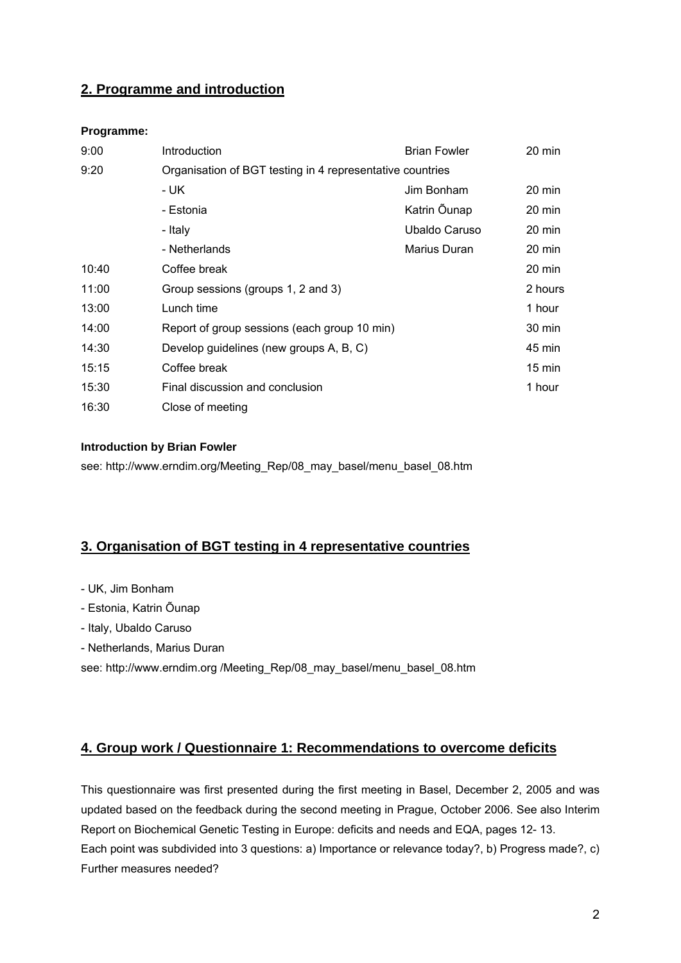### **2. Programme and introduction**

#### **Programme:**

| 9:00  | Introduction                                              | <b>Brian Fowler</b> | 20 min           |  |  |  |  |  |  |  |  |
|-------|-----------------------------------------------------------|---------------------|------------------|--|--|--|--|--|--|--|--|
| 9:20  | Organisation of BGT testing in 4 representative countries |                     |                  |  |  |  |  |  |  |  |  |
|       | - UK                                                      | Jim Bonham          | 20 min           |  |  |  |  |  |  |  |  |
|       | - Estonia                                                 | Katrin Õunap        | 20 min           |  |  |  |  |  |  |  |  |
|       | - Italy                                                   | Ubaldo Caruso       | 20 min           |  |  |  |  |  |  |  |  |
|       | - Netherlands                                             | Marius Duran        | 20 min           |  |  |  |  |  |  |  |  |
| 10:40 | Coffee break                                              |                     | 20 min           |  |  |  |  |  |  |  |  |
| 11:00 | Group sessions (groups 1, 2 and 3)                        |                     | 2 hours          |  |  |  |  |  |  |  |  |
| 13:00 | Lunch time                                                |                     | 1 hour           |  |  |  |  |  |  |  |  |
| 14:00 | Report of group sessions (each group 10 min)              |                     | 30 min           |  |  |  |  |  |  |  |  |
| 14:30 | Develop guidelines (new groups A, B, C)                   |                     | 45 min           |  |  |  |  |  |  |  |  |
| 15:15 | Coffee break                                              |                     | $15 \text{ min}$ |  |  |  |  |  |  |  |  |
| 15:30 | Final discussion and conclusion                           |                     | 1 hour           |  |  |  |  |  |  |  |  |
| 16:30 | Close of meeting                                          |                     |                  |  |  |  |  |  |  |  |  |

#### **Introduction by Brian Fowler**

see: http://www.erndim.org/Meeting\_Rep/08\_may\_basel/menu\_basel\_08.htm

### **3. Organisation of BGT testing in 4 representative countries**

- UK, Jim Bonham
- Estonia, Katrin Õunap
- Italy, Ubaldo Caruso
- Netherlands, Marius Duran

see: http://www.erndim.org /Meeting\_Rep/08\_may\_basel/menu\_basel\_08.htm

### **4. Group work / Questionnaire 1: Recommendations to overcome deficits**

This questionnaire was first presented during the first meeting in Basel, December 2, 2005 and was updated based on the feedback during the second meeting in Prague, October 2006. See also Interim Report on Biochemical Genetic Testing in Europe: deficits and needs and EQA, pages 12- 13. Each point was subdivided into 3 questions: a) Importance or relevance today?, b) Progress made?, c) Further measures needed?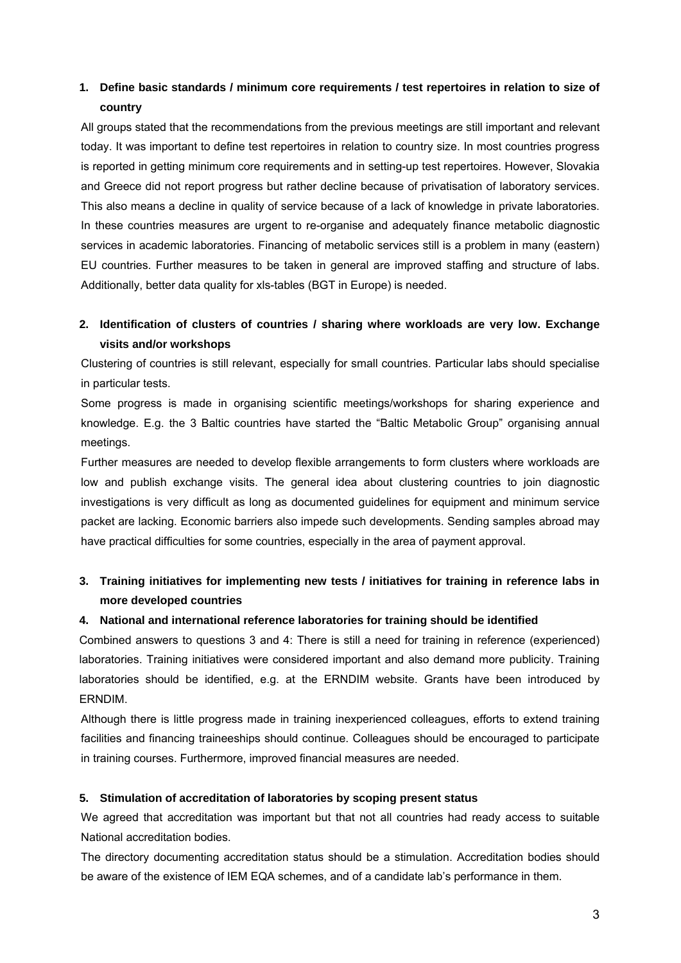### **1. Define basic standards / minimum core requirements / test repertoires in relation to size of country**

All groups stated that the recommendations from the previous meetings are still important and relevant today. It was important to define test repertoires in relation to country size. In most countries progress is reported in getting minimum core requirements and in setting-up test repertoires. However, Slovakia and Greece did not report progress but rather decline because of privatisation of laboratory services. This also means a decline in quality of service because of a lack of knowledge in private laboratories. In these countries measures are urgent to re-organise and adequately finance metabolic diagnostic services in academic laboratories. Financing of metabolic services still is a problem in many (eastern) EU countries. Further measures to be taken in general are improved staffing and structure of labs. Additionally, better data quality for xls-tables (BGT in Europe) is needed.

### **2. Identification of clusters of countries / sharing where workloads are very low. Exchange visits and/or workshops**

Clustering of countries is still relevant, especially for small countries. Particular labs should specialise in particular tests.

Some progress is made in organising scientific meetings/workshops for sharing experience and knowledge. E.g. the 3 Baltic countries have started the "Baltic Metabolic Group" organising annual meetings.

Further measures are needed to develop flexible arrangements to form clusters where workloads are low and publish exchange visits. The general idea about clustering countries to join diagnostic investigations is very difficult as long as documented guidelines for equipment and minimum service packet are lacking. Economic barriers also impede such developments. Sending samples abroad may have practical difficulties for some countries, especially in the area of payment approval.

### **3. Training initiatives for implementing new tests / initiatives for training in reference labs in more developed countries**

#### **4. National and international reference laboratories for training should be identified**

Combined answers to questions 3 and 4: There is still a need for training in reference (experienced) laboratories. Training initiatives were considered important and also demand more publicity. Training laboratories should be identified, e.g. at the ERNDIM website. Grants have been introduced by ERNDIM.

Although there is little progress made in training inexperienced colleagues, efforts to extend training facilities and financing traineeships should continue. Colleagues should be encouraged to participate in training courses. Furthermore, improved financial measures are needed.

#### **5. Stimulation of accreditation of laboratories by scoping present status**

We agreed that accreditation was important but that not all countries had ready access to suitable National accreditation bodies.

The directory documenting accreditation status should be a stimulation. Accreditation bodies should be aware of the existence of IEM EQA schemes, and of a candidate lab's performance in them.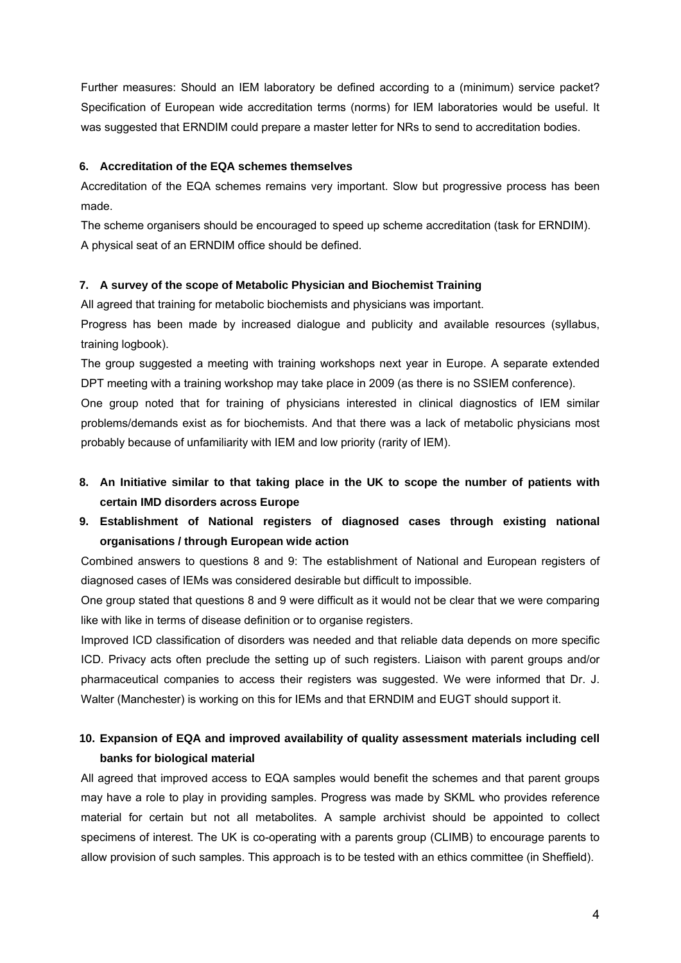Further measures: Should an IEM laboratory be defined according to a (minimum) service packet? Specification of European wide accreditation terms (norms) for IEM laboratories would be useful. It was suggested that ERNDIM could prepare a master letter for NRs to send to accreditation bodies.

#### **6. Accreditation of the EQA schemes themselves**

Accreditation of the EQA schemes remains very important. Slow but progressive process has been made.

The scheme organisers should be encouraged to speed up scheme accreditation (task for ERNDIM). A physical seat of an ERNDIM office should be defined.

#### **7. A survey of the scope of Metabolic Physician and Biochemist Training**

All agreed that training for metabolic biochemists and physicians was important.

Progress has been made by increased dialogue and publicity and available resources (syllabus, training logbook).

The group suggested a meeting with training workshops next year in Europe. A separate extended DPT meeting with a training workshop may take place in 2009 (as there is no SSIEM conference).

One group noted that for training of physicians interested in clinical diagnostics of IEM similar problems/demands exist as for biochemists. And that there was a lack of metabolic physicians most probably because of unfamiliarity with IEM and low priority (rarity of IEM).

- **8. An Initiative similar to that taking place in the UK to scope the number of patients with certain IMD disorders across Europe**
- **9. Establishment of National registers of diagnosed cases through existing national organisations / through European wide action**

Combined answers to questions 8 and 9: The establishment of National and European registers of diagnosed cases of IEMs was considered desirable but difficult to impossible.

One group stated that questions 8 and 9 were difficult as it would not be clear that we were comparing like with like in terms of disease definition or to organise registers.

Improved ICD classification of disorders was needed and that reliable data depends on more specific ICD. Privacy acts often preclude the setting up of such registers. Liaison with parent groups and/or pharmaceutical companies to access their registers was suggested. We were informed that Dr. J. Walter (Manchester) is working on this for IEMs and that ERNDIM and EUGT should support it.

### **10. Expansion of EQA and improved availability of quality assessment materials including cell banks for biological material**

All agreed that improved access to EQA samples would benefit the schemes and that parent groups may have a role to play in providing samples. Progress was made by SKML who provides reference material for certain but not all metabolites. A sample archivist should be appointed to collect specimens of interest. The UK is co-operating with a parents group (CLIMB) to encourage parents to allow provision of such samples. This approach is to be tested with an ethics committee (in Sheffield).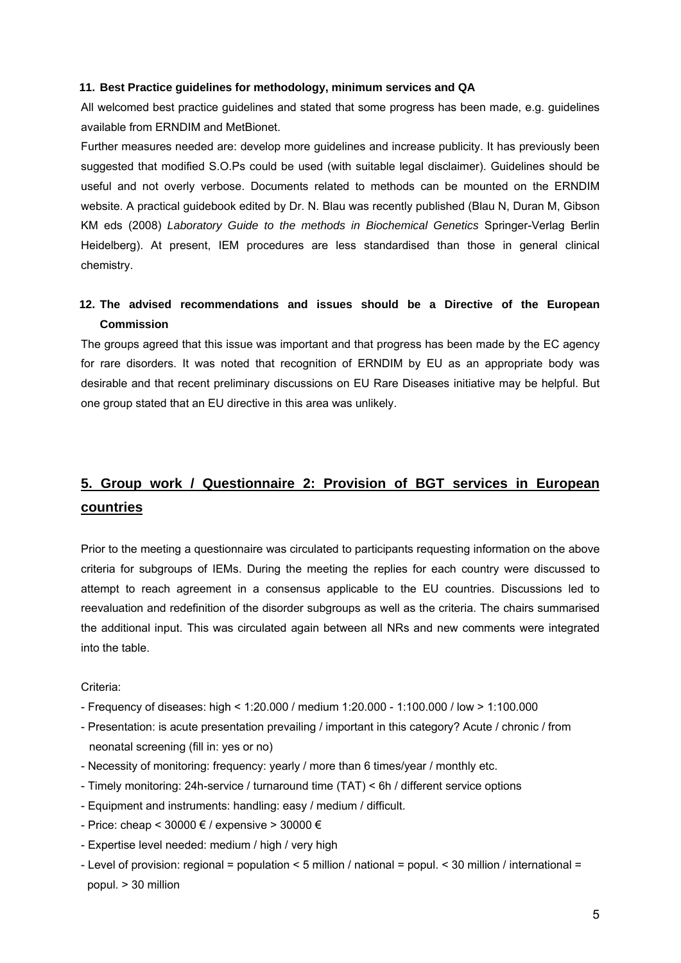#### **11. Best Practice guidelines for methodology, minimum services and QA**

All welcomed best practice guidelines and stated that some progress has been made, e.g. guidelines available from ERNDIM and MetBionet.

Further measures needed are: develop more guidelines and increase publicity. It has previously been suggested that modified S.O.Ps could be used (with suitable legal disclaimer). Guidelines should be useful and not overly verbose. Documents related to methods can be mounted on the ERNDIM website. A practical guidebook edited by Dr. N. Blau was recently published (Blau N, Duran M, Gibson KM eds (2008) *Laboratory Guide to the methods in Biochemical Genetics* Springer-Verlag Berlin Heidelberg). At present, IEM procedures are less standardised than those in general clinical chemistry.

### **12. The advised recommendations and issues should be a Directive of the European Commission**

The groups agreed that this issue was important and that progress has been made by the EC agency for rare disorders. It was noted that recognition of ERNDIM by EU as an appropriate body was desirable and that recent preliminary discussions on EU Rare Diseases initiative may be helpful. But one group stated that an EU directive in this area was unlikely.

## **5. Group work / Questionnaire 2: Provision of BGT services in European countries**

Prior to the meeting a questionnaire was circulated to participants requesting information on the above criteria for subgroups of IEMs. During the meeting the replies for each country were discussed to attempt to reach agreement in a consensus applicable to the EU countries. Discussions led to reevaluation and redefinition of the disorder subgroups as well as the criteria. The chairs summarised the additional input. This was circulated again between all NRs and new comments were integrated into the table.

#### Criteria:

- Frequency of diseases: high < 1:20.000 / medium 1:20.000 1:100.000 / low > 1:100.000
- Presentation: is acute presentation prevailing / important in this category? Acute / chronic / from neonatal screening (fill in: yes or no)
- Necessity of monitoring: frequency: yearly / more than 6 times/year / monthly etc.
- Timely monitoring: 24h-service / turnaround time (TAT) < 6h / different service options
- Equipment and instruments: handling: easy / medium / difficult.
- Price: cheap <  $30000 \in \ell$  expensive >  $30000 \in \ell$
- Expertise level needed: medium / high / very high
- Level of provision: regional = population < 5 million / national = popul. < 30 million / international = popul. > 30 million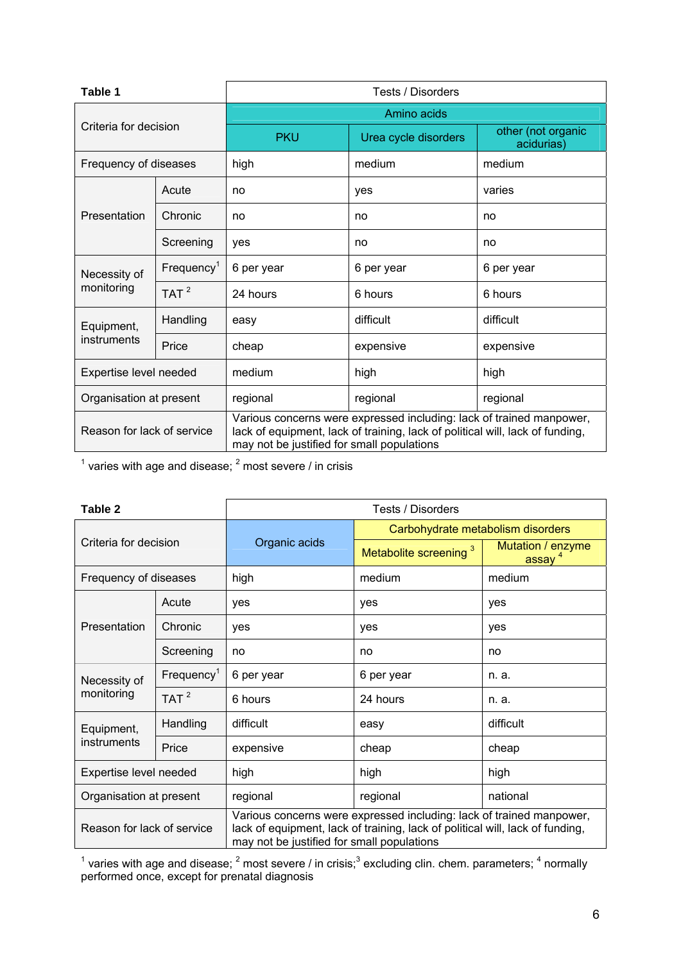| Table 1                    |                  | Tests / Disorders                                                                                                                                                                                   |                      |                                  |  |  |  |  |  |  |  |
|----------------------------|------------------|-----------------------------------------------------------------------------------------------------------------------------------------------------------------------------------------------------|----------------------|----------------------------------|--|--|--|--|--|--|--|
|                            |                  | Amino acids                                                                                                                                                                                         |                      |                                  |  |  |  |  |  |  |  |
| Criteria for decision      |                  | <b>PKU</b>                                                                                                                                                                                          | Urea cycle disorders | other (not organic<br>acidurias) |  |  |  |  |  |  |  |
| Frequency of diseases      |                  | high                                                                                                                                                                                                | medium               | medium                           |  |  |  |  |  |  |  |
|                            | Acute            | no                                                                                                                                                                                                  | yes                  | varies                           |  |  |  |  |  |  |  |
| Presentation               | Chronic          | no                                                                                                                                                                                                  | no                   | no                               |  |  |  |  |  |  |  |
|                            | Screening        | yes                                                                                                                                                                                                 | no                   | no                               |  |  |  |  |  |  |  |
| Necessity of               | $F$ requency $1$ | 6 per year                                                                                                                                                                                          | 6 per year           | 6 per year                       |  |  |  |  |  |  |  |
| monitoring                 | TAT $^2$         | 24 hours                                                                                                                                                                                            | 6 hours              | 6 hours                          |  |  |  |  |  |  |  |
| Equipment,                 | Handling         | easy                                                                                                                                                                                                | difficult            | difficult                        |  |  |  |  |  |  |  |
| instruments                | Price            | cheap                                                                                                                                                                                               | expensive            | expensive                        |  |  |  |  |  |  |  |
| Expertise level needed     |                  | medium                                                                                                                                                                                              | high                 | high                             |  |  |  |  |  |  |  |
| Organisation at present    |                  | regional                                                                                                                                                                                            | regional             | regional                         |  |  |  |  |  |  |  |
| Reason for lack of service |                  | Various concerns were expressed including: lack of trained manpower,<br>lack of equipment, lack of training, lack of political will, lack of funding,<br>may not be justified for small populations |                      |                                  |  |  |  |  |  |  |  |

 $1$  varies with age and disease;  $2$  most severe / in crisis

| Table 2                    |                           | Tests / Disorders                                                                                                                                                                                   |                                   |                                         |  |  |  |  |  |
|----------------------------|---------------------------|-----------------------------------------------------------------------------------------------------------------------------------------------------------------------------------------------------|-----------------------------------|-----------------------------------------|--|--|--|--|--|
|                            |                           |                                                                                                                                                                                                     | Carbohydrate metabolism disorders |                                         |  |  |  |  |  |
| Criteria for decision      |                           | Organic acids                                                                                                                                                                                       | Metabolite screening <sup>3</sup> | Mutation / enzyme<br>assay <sup>4</sup> |  |  |  |  |  |
| Frequency of diseases      |                           | high                                                                                                                                                                                                | medium                            | medium                                  |  |  |  |  |  |
|                            | Acute                     | yes                                                                                                                                                                                                 | yes                               | yes                                     |  |  |  |  |  |
| Presentation               | Chronic                   | yes                                                                                                                                                                                                 | yes                               | yes                                     |  |  |  |  |  |
|                            | Screening                 | no                                                                                                                                                                                                  | no                                | no                                      |  |  |  |  |  |
| Necessity of               | $F$ requency <sup>1</sup> | 6 per year                                                                                                                                                                                          | 6 per year                        | n. a.                                   |  |  |  |  |  |
| monitoring                 | TAT $^2$                  | 6 hours                                                                                                                                                                                             | 24 hours                          | n. a.                                   |  |  |  |  |  |
| Equipment,                 | Handling                  | difficult                                                                                                                                                                                           | easy                              | difficult                               |  |  |  |  |  |
| instruments                | Price                     | expensive                                                                                                                                                                                           | cheap                             | cheap                                   |  |  |  |  |  |
| Expertise level needed     |                           | high                                                                                                                                                                                                | high                              | high                                    |  |  |  |  |  |
| Organisation at present    |                           | regional                                                                                                                                                                                            | regional                          | national                                |  |  |  |  |  |
| Reason for lack of service |                           | Various concerns were expressed including: lack of trained manpower,<br>lack of equipment, lack of training, lack of political will, lack of funding,<br>may not be justified for small populations |                                   |                                         |  |  |  |  |  |

<sup>1</sup> varies with age and disease;  $^2$  most severe / in crisis;  $^3$  excluding clin. chem. parameters;  $^4$  normally performed once, except for prenatal diagnosis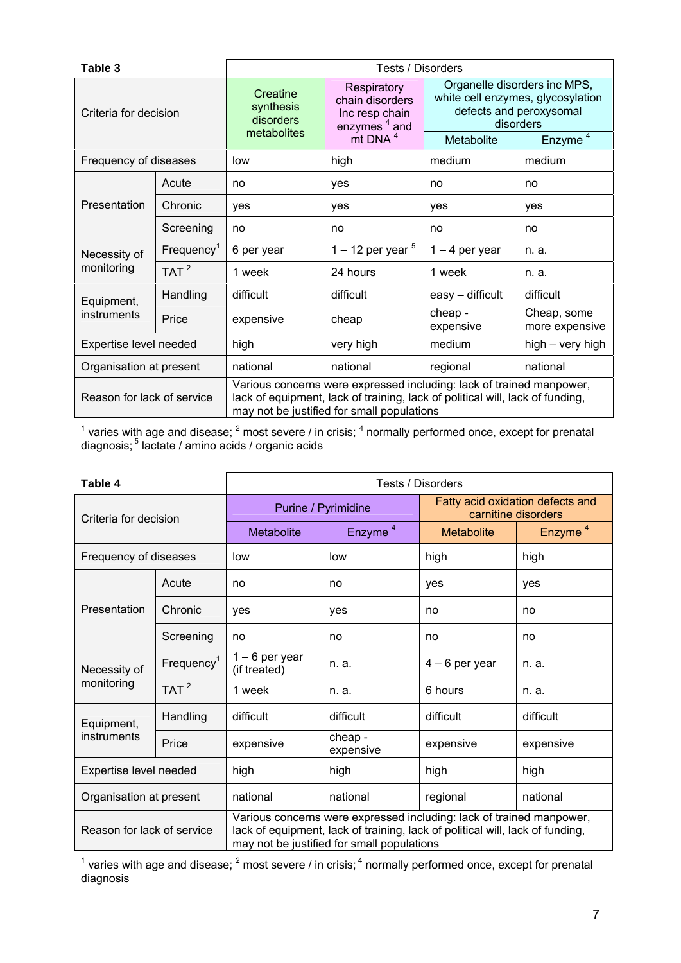| Table 3                    |                           | Tests / Disorders                                                                                                                                                                                   |                                                                              |                      |                                                                                                           |  |  |  |  |  |
|----------------------------|---------------------------|-----------------------------------------------------------------------------------------------------------------------------------------------------------------------------------------------------|------------------------------------------------------------------------------|----------------------|-----------------------------------------------------------------------------------------------------------|--|--|--|--|--|
| Criteria for decision      |                           | Creatine<br>synthesis<br>disorders<br>metabolites                                                                                                                                                   | Respiratory<br>chain disorders<br>Inc resp chain<br>enzymes <sup>4</sup> and |                      | Organelle disorders inc MPS,<br>white cell enzymes, glycosylation<br>defects and peroxysomal<br>disorders |  |  |  |  |  |
|                            |                           |                                                                                                                                                                                                     | mit DNA <sup>4</sup>                                                         | Metabolite           | Enzyme <sup>4</sup>                                                                                       |  |  |  |  |  |
| Frequency of diseases      |                           | low                                                                                                                                                                                                 | high                                                                         | medium               | medium                                                                                                    |  |  |  |  |  |
|                            | Acute                     | no                                                                                                                                                                                                  | yes                                                                          | no                   | no                                                                                                        |  |  |  |  |  |
| Presentation               | Chronic                   | yes                                                                                                                                                                                                 | yes                                                                          | yes                  | yes                                                                                                       |  |  |  |  |  |
|                            | Screening                 | no                                                                                                                                                                                                  | no                                                                           | no                   | no                                                                                                        |  |  |  |  |  |
| Necessity of               | $F$ requency <sup>1</sup> | 6 per year                                                                                                                                                                                          | 1 – 12 per year $5$                                                          | $1 - 4$ per year     | n. a.                                                                                                     |  |  |  |  |  |
| monitoring                 | TAT <sup>2</sup>          | 1 week                                                                                                                                                                                              | 24 hours                                                                     | 1 week               | n. a.                                                                                                     |  |  |  |  |  |
| Equipment,                 | Handling                  | difficult                                                                                                                                                                                           | difficult                                                                    | easy - difficult     | difficult                                                                                                 |  |  |  |  |  |
| instruments                | Price                     | expensive                                                                                                                                                                                           | cheap                                                                        | cheap -<br>expensive | Cheap, some<br>more expensive                                                                             |  |  |  |  |  |
| Expertise level needed     |                           | high                                                                                                                                                                                                | very high                                                                    | medium               | high - very high                                                                                          |  |  |  |  |  |
| Organisation at present    |                           | national                                                                                                                                                                                            | national                                                                     | regional             | national                                                                                                  |  |  |  |  |  |
| Reason for lack of service |                           | Various concerns were expressed including: lack of trained manpower,<br>lack of equipment, lack of training, lack of political will, lack of funding,<br>may not be justified for small populations |                                                                              |                      |                                                                                                           |  |  |  |  |  |

<sup>1</sup> varies with age and disease;  $^2$  most severe / in crisis;  $^4$  normally performed once, except for prenatal diagnosis; <sup>5</sup> lactate / amino acids / organic acids

| Table 4                    |                  | Tests / Disorders                                                                                                                                                                                   |                      |                                                         |                     |  |  |  |  |  |  |
|----------------------------|------------------|-----------------------------------------------------------------------------------------------------------------------------------------------------------------------------------------------------|----------------------|---------------------------------------------------------|---------------------|--|--|--|--|--|--|
| Criteria for decision      |                  |                                                                                                                                                                                                     | Purine / Pyrimidine  | Fatty acid oxidation defects and<br>carnitine disorders |                     |  |  |  |  |  |  |
|                            |                  | <b>Metabolite</b>                                                                                                                                                                                   | Enzyme <sup>4</sup>  | <b>Metabolite</b>                                       | Enzyme <sup>4</sup> |  |  |  |  |  |  |
| Frequency of diseases      |                  | low                                                                                                                                                                                                 | low                  | high                                                    | high                |  |  |  |  |  |  |
|                            | Acute            | no                                                                                                                                                                                                  | no                   | yes                                                     | yes                 |  |  |  |  |  |  |
| Presentation               | Chronic          | yes                                                                                                                                                                                                 | yes                  | no                                                      | no                  |  |  |  |  |  |  |
|                            | Screening        | no                                                                                                                                                                                                  | no                   | no                                                      | no                  |  |  |  |  |  |  |
| Necessity of               | $F$ requency $1$ | $1 - 6$ per year<br>(if treated)                                                                                                                                                                    | n. a.                | $4 - 6$ per year                                        | n. a.               |  |  |  |  |  |  |
| monitoring                 | TAT $^2$         | 1 week                                                                                                                                                                                              | n. a.                | 6 hours                                                 | n. a.               |  |  |  |  |  |  |
| Equipment,                 | Handling         | difficult                                                                                                                                                                                           | difficult            | difficult                                               | difficult           |  |  |  |  |  |  |
| instruments                | Price            | expensive                                                                                                                                                                                           | cheap -<br>expensive | expensive                                               | expensive           |  |  |  |  |  |  |
| Expertise level needed     |                  | high                                                                                                                                                                                                | high                 | high                                                    | high                |  |  |  |  |  |  |
| Organisation at present    |                  | national                                                                                                                                                                                            | national             | regional                                                | national            |  |  |  |  |  |  |
| Reason for lack of service |                  | Various concerns were expressed including: lack of trained manpower,<br>lack of equipment, lack of training, lack of political will, lack of funding,<br>may not be justified for small populations |                      |                                                         |                     |  |  |  |  |  |  |

<sup>1</sup> varies with age and disease;  $^2$  most severe / in crisis;  $^4$  normally performed once, except for prenatal diagnosis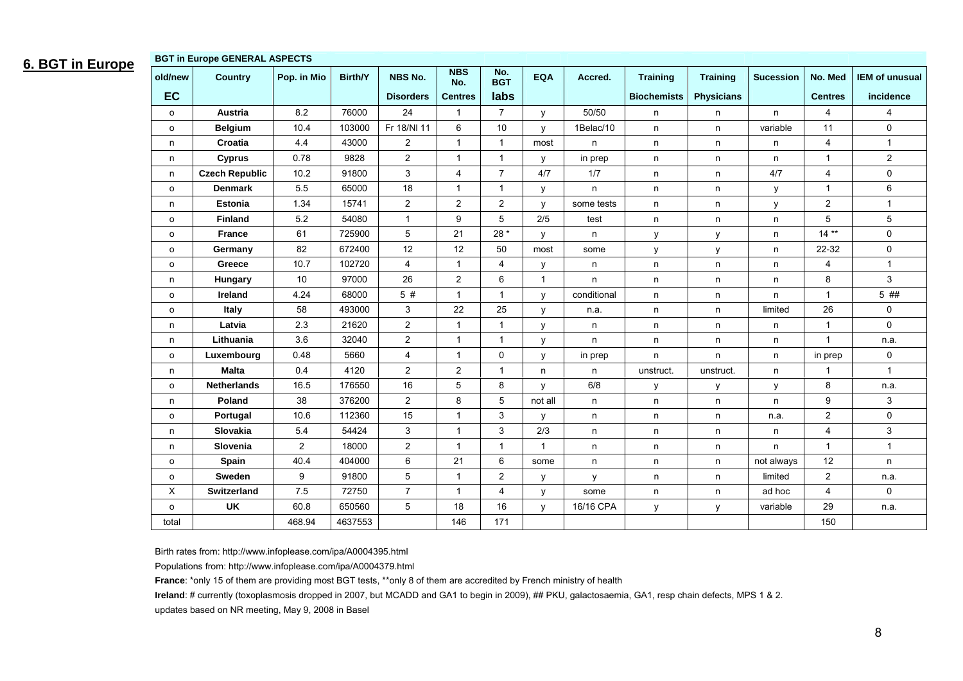### **6. BGT in Europe**

| <b>BGT in Europe GENERAL ASPECTS</b> |                       |                 |         |                  |                   |                   |              |             |                    |                   |                  |                |                       |
|--------------------------------------|-----------------------|-----------------|---------|------------------|-------------------|-------------------|--------------|-------------|--------------------|-------------------|------------------|----------------|-----------------------|
| old/new                              | <b>Country</b>        | Pop. in Mio     | Birth/Y | NBS No.          | <b>NBS</b><br>No. | No.<br><b>BGT</b> | <b>EQA</b>   | Accred.     | <b>Training</b>    | <b>Training</b>   | <b>Sucession</b> | No. Med        | <b>IEM of unusual</b> |
| EC                                   |                       |                 |         | <b>Disorders</b> | <b>Centres</b>    | labs              |              |             | <b>Biochemists</b> | <b>Physicians</b> |                  | <b>Centres</b> | incidence             |
| $\circ$                              | Austria               | 8.2             | 76000   | 24               | 1                 | $\overline{7}$    | У            | 50/50       | n                  | n                 | n.               | 4              | $\overline{4}$        |
| $\circ$                              | <b>Belgium</b>        | 10.4            | 103000  | Fr 18/NI 11      | 6                 | 10                | y            | 1Belac/10   | n                  | n                 | variable         | 11             | $\mathbf 0$           |
| n                                    | Croatia               | 4.4             | 43000   | $\overline{2}$   | $\mathbf{1}$      | $\mathbf{1}$      | most         | n           | n                  | $\sf n$           | n                | 4              | $\mathbf{1}$          |
| n.                                   | <b>Cyprus</b>         | 0.78            | 9828    | $\overline{2}$   | $\mathbf{1}$      | $\mathbf{1}$      | у            | in prep     | n                  | n                 | n                | $\mathbf{1}$   | $\mathbf{2}$          |
| n                                    | <b>Czech Republic</b> | 10.2            | 91800   | 3                | $\overline{4}$    | $\overline{7}$    | 4/7          | 1/7         | n                  | n                 | 4/7              | 4              | $\mathbf 0$           |
| $\circ$                              | <b>Denmark</b>        | 5.5             | 65000   | 18               | $\mathbf{1}$      | $\mathbf{1}$      | у            | n.          | n                  | n                 | у                | $\mathbf{1}$   | 6                     |
| n                                    | <b>Estonia</b>        | 1.34            | 15741   | $\overline{2}$   | $\mathbf{2}$      | $\overline{c}$    | y            | some tests  | n                  | n                 | y                | $\overline{2}$ | $\mathbf{1}$          |
| $\mathsf{o}$                         | <b>Finland</b>        | 5.2             | 54080   | $\mathbf{1}$     | 9                 | 5                 | 2/5          | test        | n                  | n                 | n                | 5              | 5                     |
| $\circ$                              | France                | 61              | 725900  | 5                | 21                | $28*$             | y            | n           | y                  | y                 | n                | $14**$         | $\mathbf 0$           |
| $\circ$                              | Germany               | 82              | 672400  | 12               | 12                | 50                | most         | some        | У                  | y                 | n                | 22-32          | $\pmb{0}$             |
| $\mathsf{o}$                         | Greece                | 10.7            | 102720  | $\overline{4}$   | $\mathbf{1}$      | 4                 | у            | n           | n                  | n                 | n                | 4              | $\mathbf{1}$          |
| n                                    | Hungary               | 10 <sup>1</sup> | 97000   | 26               | 2                 | 6                 | $\mathbf{1}$ | n           | n                  | n                 | n                | 8              | 3                     |
| $\mathsf{o}\,$                       | Ireland               | 4.24            | 68000   | 5#               | $\overline{1}$    | $\mathbf{1}$      | у            | conditional | n                  | $\sf n$           | n                | $\mathbf{1}$   | 5 ##                  |
| $\circ$                              | <b>Italy</b>          | 58              | 493000  | 3                | 22                | 25                | y            | n.a.        | n                  | n                 | limited          | 26             | 0                     |
| n                                    | Latvia                | 2.3             | 21620   | $\overline{2}$   | $\mathbf{1}$      | $\mathbf{1}$      | y            | n           | n                  | n                 | n                | $\mathbf{1}$   | $\mathbf 0$           |
| n                                    | Lithuania             | 3.6             | 32040   | $\overline{2}$   | $\mathbf{1}$      | 1                 | y            | n           | n                  | n                 | n                | $\mathbf{1}$   | n.a.                  |
| $\circ$                              | Luxembourg            | 0.48            | 5660    | $\overline{4}$   | $\mathbf{1}$      | 0                 | y            | in prep     | n.                 | n                 | n                | in prep        | 0                     |
| n                                    | <b>Malta</b>          | 0.4             | 4120    | $\overline{2}$   | $\overline{2}$    | $\mathbf{1}$      | n            | n           | unstruct.          | unstruct.         | n                | $\mathbf{1}$   | $\mathbf{1}$          |
| $\circ$                              | <b>Netherlands</b>    | 16.5            | 176550  | 16               | 5                 | 8                 | y            | 6/8         | у                  | у                 | у                | 8              | n.a.                  |
| n                                    | Poland                | 38              | 376200  | $\overline{2}$   | 8                 | 5                 | not all      | n.          | n                  | n                 | n                | 9              | 3                     |
| $\circ$                              | Portugal              | 10.6            | 112360  | 15               | $\mathbf{1}$      | 3                 | у            | n           | n                  | n                 | n.a.             | $\overline{2}$ | $\mathbf 0$           |
| n                                    | Slovakia              | 5.4             | 54424   | 3                | $\overline{1}$    | 3                 | 2/3          | n           | n                  | n                 | n                | 4              | 3                     |
| n                                    | Slovenia              | $\overline{2}$  | 18000   | $\overline{2}$   | $\mathbf{1}$      | $\mathbf{1}$      | $\mathbf{1}$ | n           | n                  | n                 | n                | $\mathbf{1}$   | $\mathbf{1}$          |
| $\circ$                              | <b>Spain</b>          | 40.4            | 404000  | 6                | 21                | 6                 | some         | n           | n                  | n                 | not always       | 12             | n                     |
| $\circ$                              | Sweden                | 9               | 91800   | 5                | -1                | $\overline{2}$    | y            | y           | n                  | n                 | limited          | $\overline{2}$ | n.a.                  |
| X                                    | <b>Switzerland</b>    | 7.5             | 72750   | $\overline{7}$   | $\mathbf{1}$      | $\overline{4}$    | y            | some        | n                  | n                 | ad hoc           | $\overline{4}$ | $\mathbf 0$           |
| o                                    | <b>UK</b>             | 60.8            | 650560  | 5                | 18                | 16                | y            | 16/16 CPA   | у                  | y                 | variable         | 29             | n.a.                  |
| total                                |                       | 468.94          | 4637553 |                  | 146               | 171               |              |             |                    |                   |                  | 150            |                       |

Birth rates from: http://www.infoplease.com/ipa/A0004395.html

Populations from: http://www.infoplease.com/ipa/A0004379.html

**France**: \*only 15 of them are providing most BGT tests, \*\*only 8 of them are accredited by French ministry of health

**Ireland:** # currently (toxoplasmosis dropped in 2007, but MCADD and GA1 to begin in 2009), ## PKU, galactosaemia, GA1, resp chain defects, MPS 1 & 2.

updates based on NR meeting, May 9, 2008 in Basel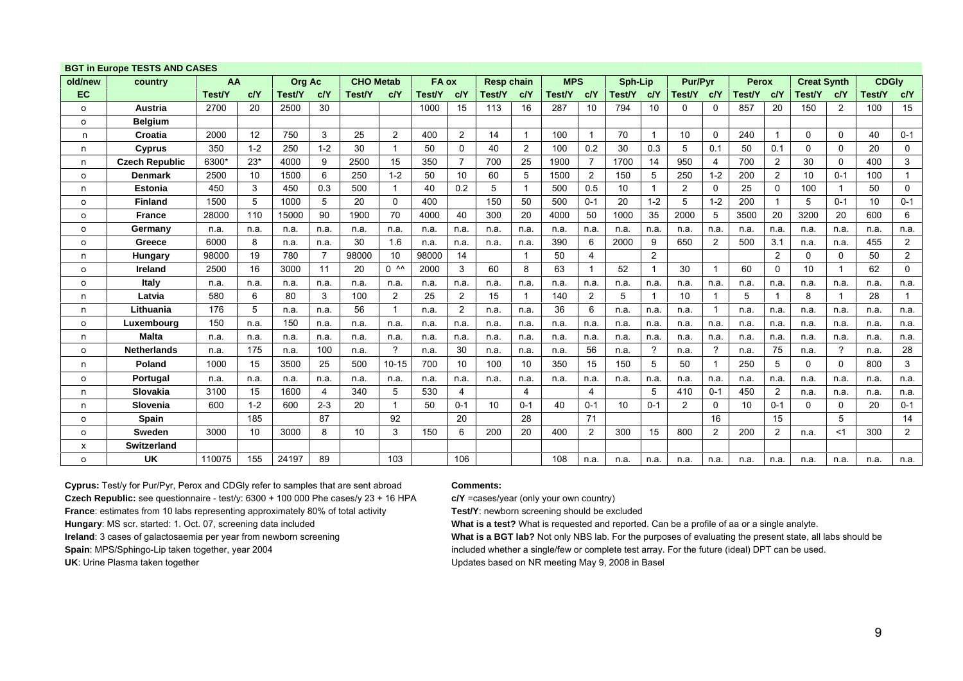|          | <b>BGT IN EUROPE TESTS AND CASES</b> |        |         |               |                |                  |                    |        |                |                   |                         |            |                |         |                |                |                |              |                |                    |          |              |                |
|----------|--------------------------------------|--------|---------|---------------|----------------|------------------|--------------------|--------|----------------|-------------------|-------------------------|------------|----------------|---------|----------------|----------------|----------------|--------------|----------------|--------------------|----------|--------------|----------------|
| old/new  | country                              | AA     |         | <b>Org Ac</b> |                | <b>CHO Metab</b> |                    | FA ox  |                | <b>Resp chain</b> |                         | <b>MPS</b> |                | Sph-Lip |                | <b>Pur/Pvr</b> |                | <b>Perox</b> |                | <b>Creat Synth</b> |          | <b>CDGIv</b> |                |
| EC       |                                      | Test/Y | c/Y     | Test/Y        | c/Y            | Test/Y           | c/Y                | Test/Y | c/Y            | Test/Y            | c/Y                     | Test/Y     | c/Y            | Test/Y  | c/Y            | Test/Y         | c/Y            | Test/Y       | c/Y            | Test/Y             | c/Y      | Test/Y       | c/Y            |
| o        | <b>Austria</b>                       | 2700   | 20      | 2500          | 30             |                  |                    | 1000   | 15             | 113               | 16                      | 287        | 10             | 794     | 10             | 0              | $\Omega$       | 857          | 20             | 150                | 2        | 100          | 15             |
| o        | <b>Belaium</b>                       |        |         |               |                |                  |                    |        |                |                   |                         |            |                |         |                |                |                |              |                |                    |          |              |                |
| n        | Croatia                              | 2000   | 12      | 750           | 3              | 25               | 2                  | 400    | 2              | 14                | -1                      | 100        | $\mathbf{1}$   | 70      | $\overline{1}$ | 10             | $\Omega$       | 240          | $\mathbf{1}$   | $\Omega$           | $\Omega$ | 40           | $0 - 1$        |
| n        | <b>Cyprus</b>                        | 350    | $1 - 2$ | 250           | $1 - 2$        | 30               |                    | 50     | 0              | 40                | $\overline{2}$          | 100        | 0.2            | 30      | 0.3            | 5              | 0.1            | 50           | 0.1            | $\Omega$           | $\Omega$ | 20           | 0              |
| n        | <b>Czech Republic</b>                | 6300*  | $23*$   | 4000          | 9              | 2500             | 15                 | 350    | 7              | 700               | 25                      | 1900       | $\overline{7}$ | 1700    | 14             | 950            | 4              | 700          | 2              | 30                 | $\Omega$ | 400          | 3              |
| $\circ$  | <b>Denmark</b>                       | 2500   | 10      | 1500          | 6              | 250              | $1 - 2$            | 50     | 10             | 60                | 5                       | 1500       | 2              | 150     | 5              | 250            | $1 - 2$        | 200          | 2              | 10                 | $0 - 1$  | 100          | -1             |
| n        | <b>Estonia</b>                       | 450    | 3       | 450           | 0.3            | 500              |                    | 40     | 0.2            | 5                 |                         | 500        | 0.5            | 10      | -1             | 2              | $\Omega$       | 25           | $\mathbf{0}$   | 100                |          | 50           | $\mathbf 0$    |
| o        | Finland                              | 1500   | 5       | 1000          | 5              | 20               | $\Omega$           | 400    |                | 150               | 50                      | 500        | $0 - 1$        | 20      | $1 - 2$        | 5              | $1 - 2$        | 200          | $\mathbf 1$    | 5                  | $0 - 1$  | 10           | $0 - 1$        |
| o        | <b>France</b>                        | 28000  | 110     | 15000         | 90             | 1900             | 70                 | 4000   | 40             | 300               | 20                      | 4000       | 50             | 1000    | 35             | 2000           | 5              | 3500         | 20             | 3200               | 20       | 600          | 6              |
| 0        | Germany                              | n.a.   | n.a.    | n.a.          | n.a.           | n.a.             | n.a.               | n.a.   | n.a.           | n.a.              | n.a.                    | n.a.       | n.a.           | n.a.    | n.a.           | n.a.           | n.a.           | n.a.         | n.a.           | n.a.               | n.a.     | n.a.         | n.a.           |
| o        | Greece                               | 6000   | 8       | n.a.          | n.a.           | 30               | 1.6                | n.a.   | n.a.           | n.a.              | n.a.                    | 390        | 6              | 2000    | 9              | 650            | 2              | 500          | 3.1            | n.a.               | n.a.     | 455          | $\overline{2}$ |
| n        | <b>Hungary</b>                       | 98000  | 19      | 780           | $\overline{7}$ | 98000            | 10                 | 98000  | 14             |                   | $\overline{\mathbf{1}}$ | 50         | $\overline{4}$ |         | 2              |                |                |              | $\overline{2}$ | 0                  | 0        | 50           | $\overline{2}$ |
| o        | <b>Ireland</b>                       | 2500   | 16      | 3000          | 11             | 20               | $0^{\circ}$ $\sim$ | 2000   | 3              | 60                | 8                       | 63         | $\mathbf{1}$   | 52      | - 1            | 30             |                | 60           | 0              | 10                 |          | 62           | $\mathbf 0$    |
| o        | Italy                                | n.a.   | n.a.    | n.a.          | n.a.           | n.a.             | n.a.               | n.a.   | n.a.           | n.a.              | n.a.                    | n.a.       | n.a.           | n.a.    | n.a.           | n.a.           | n.a.           | n.a.         | n.a.           | n.a.               | n.a.     | n.a.         | n.a.           |
| n        | Latvia                               | 580    | 6       | 80            | 3              | 100              | 2                  | 25     | 2              | 15                |                         | 140        | 2              | 5       |                | 10             |                | 5            | -1             | 8                  |          | 28           |                |
| n        | Lithuania                            | 176    | 5       | n.a.          | n.a.           | 56               | 1                  | n.a.   | $\overline{2}$ | n.a.              | n.a.                    | 36         | 6              | n.a.    | n.a.           | n.a.           |                | n.a.         | n.a.           | n.a.               | n.a.     | n.a.         | n.a.           |
| o        | Luxembourg                           | 150    | n.a.    | 150           | n.a.           | n.a.             | n.a.               | n.a.   | n.a.           | n.a.              | n.a.                    | n.a.       | n.a.           | n.a.    | n.a.           | n.a.           | n.a.           | n.a.         | n.a.           | n.a.               | n.a.     | n.a.         | n.a.           |
| n        | <b>Malta</b>                         | n.a.   | n.a.    | n.a.          | n.a.           | n.a.             | n.a.               | n.a.   | n.a.           | n.a.              | n.a.                    | n.a.       | n.a.           | n.a.    | n.a.           | n.a.           | n.a.           | n.a.         | n.a.           | n.a.               | n.a.     | n.a.         | n.a.           |
| o        | <b>Netherlands</b>                   | n.a.   | 175     | n.a.          | 100            | n.a.             | ?                  | n.a.   | 30             | n.a.              | n.a.                    | n.a.       | 56             | n.a.    | $\gamma$       | n.a.           | 2              | n.a.         | 75             | n.a.               | ?        | n.a.         | 28             |
| n        | Poland                               | 1000   | 15      | 3500          | 25             | 500              | $10 - 15$          | 700    | 10             | 100               | 10                      | 350        | 15             | 150     | 5              | 50             |                | 250          | 5              | $\Omega$           | 0        | 800          | 3              |
| O        | <b>Portugal</b>                      | n.a.   | n.a.    | n.a.          | n.a.           | n.a.             | n.a.               | n.a.   | n.a.           | n.a.              | n.a.                    | n.a.       | n.a.           | n.a.    | n.a.           | n.a.           | n.a.           | n.a.         | n.a.           | n.a.               | n.a.     | n.a.         | n.a.           |
| n        | <b>Slovakia</b>                      | 3100   | 15      | 1600          | 4              | 340              | 5                  | 530    | 4              |                   | 4                       |            | 4              |         | 5              | 410            | $0 - 1$        | 450          | $\overline{2}$ | n.a.               | n.a.     | n.a.         | n.a.           |
| n        | Slovenia                             | 600    | $1 - 2$ | 600           | $2 - 3$        | 20               |                    | 50     | $0 - 1$        | 10                | $0 - 1$                 | 40         | $0 - 1$        | 10      | $0 - 1$        | 2              | $\Omega$       | 10           | $0 - 1$        | $\Omega$           | $\Omega$ | 20           | $0 - 1$        |
| o        | <b>Spain</b>                         |        | 185     |               | 87             |                  | 92                 |        | 20             |                   | 28                      |            | 71             |         |                |                | 16             |              | 15             |                    | 5        |              | 14             |
| o        | <b>Sweden</b>                        | 3000   | 10      | 3000          | 8              | 10               | 3                  | 150    | 6              | 200               | 20                      | 400        | $\overline{c}$ | 300     | 15             | 800            | $\overline{2}$ | 200          | $\overline{c}$ | n.a.               | $<$ 1    | 300          | $\overline{2}$ |
| x        | Switzerland                          |        |         |               |                |                  |                    |        |                |                   |                         |            |                |         |                |                |                |              |                |                    |          |              |                |
| $\Omega$ | <b>UK</b>                            | 110075 | 155     | 24197         | 89             |                  | 103                |        | 106            |                   |                         | 108        | n.a.           | n.a.    | n.a.           | n.a.           | n.a.           | n.a.         | n.a.           | n.a.               | n.a.     | n.a.         | n.a.           |

#### **BGT in Europe TESTS AND CASES**

**Cyprus:** Test/y for Pur/Pyr, Perox and CDGly refer to samples that are sent abroad **Comments: Czech Republic:** see questionnaire - test/y: 6300 + 100 000 Phe cases/y 23 + 16 HPA **c/Y** =cases/year (only your own country) **France**: estimates from 10 labs representing approximately 80% of total activity **Test/Y**: newborn screening should be excluded **Hungary**: MS scr. started: 1. Oct. 07, screening data included **What is a test?** What is requested and reported. Can be a profile of aa or a single analyte. UK: Urine Plasma taken together **UPDATES 1999** Updates based on NR meeting May 9, 2008 in Basel

**Ireland:** 3 cases of galactosaemia per year from newborn screening **What is a BGT lab?** Not only NBS lab. For the purposes of evaluating the present state, all labs should be Spain: MPS/Sphingo-Lip taken together, year 2004 **included** whether a single/few or complete test array. For the future (ideal) DPT can be used.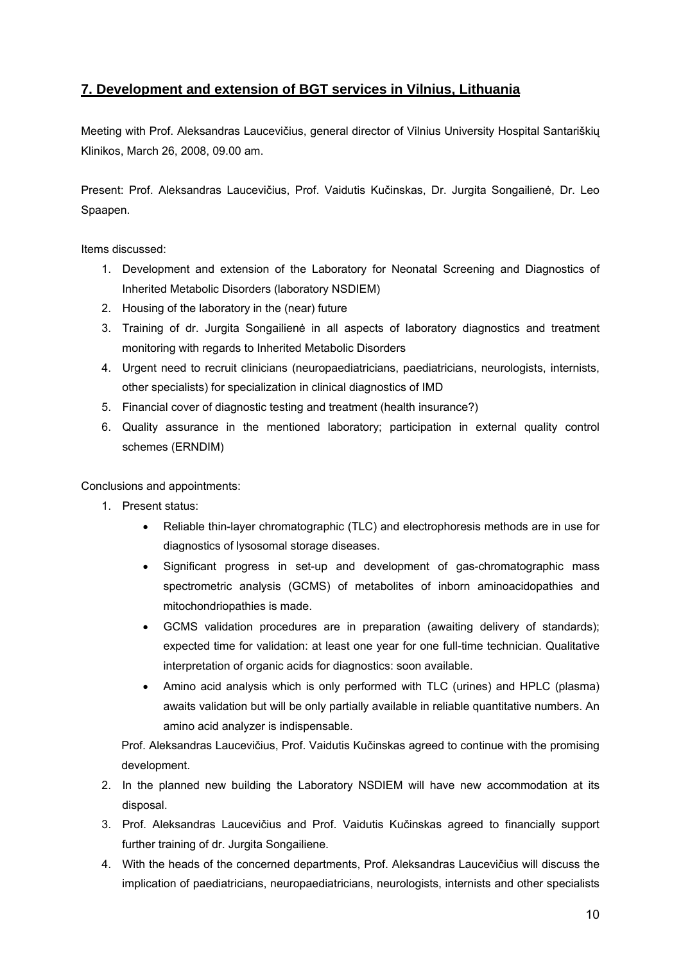### **7. Development and extension of BGT services in Vilnius, Lithuania**

Meeting with Prof. Aleksandras Laucevičius, general director of Vilnius University Hospital Santariškių Klinikos, March 26, 2008, 09.00 am.

Present: Prof. Aleksandras Laucevičius, Prof. Vaidutis Kučinskas, Dr. Jurgita Songailienė, Dr. Leo Spaapen.

Items discussed:

- 1. Development and extension of the Laboratory for Neonatal Screening and Diagnostics of Inherited Metabolic Disorders (laboratory NSDIEM)
- 2. Housing of the laboratory in the (near) future
- 3. Training of dr. Jurgita Songailienė in all aspects of laboratory diagnostics and treatment monitoring with regards to Inherited Metabolic Disorders
- 4. Urgent need to recruit clinicians (neuropaediatricians, paediatricians, neurologists, internists, other specialists) for specialization in clinical diagnostics of IMD
- 5. Financial cover of diagnostic testing and treatment (health insurance?)
- 6. Quality assurance in the mentioned laboratory; participation in external quality control schemes (ERNDIM)

Conclusions and appointments:

- 1. Present status:
	- Reliable thin-layer chromatographic (TLC) and electrophoresis methods are in use for diagnostics of lysosomal storage diseases.
	- Significant progress in set-up and development of gas-chromatographic mass spectrometric analysis (GCMS) of metabolites of inborn aminoacidopathies and mitochondriopathies is made.
	- GCMS validation procedures are in preparation (awaiting delivery of standards); expected time for validation: at least one year for one full-time technician. Qualitative interpretation of organic acids for diagnostics: soon available.
	- Amino acid analysis which is only performed with TLC (urines) and HPLC (plasma) awaits validation but will be only partially available in reliable quantitative numbers. An amino acid analyzer is indispensable.

Prof. Aleksandras Laucevičius, Prof. Vaidutis Kučinskas agreed to continue with the promising development.

- 2. In the planned new building the Laboratory NSDIEM will have new accommodation at its disposal.
- 3. Prof. Aleksandras Laucevičius and Prof. Vaidutis Kučinskas agreed to financially support further training of dr. Jurgita Songailiene.
- 4. With the heads of the concerned departments, Prof. Aleksandras Laucevičius will discuss the implication of paediatricians, neuropaediatricians, neurologists, internists and other specialists